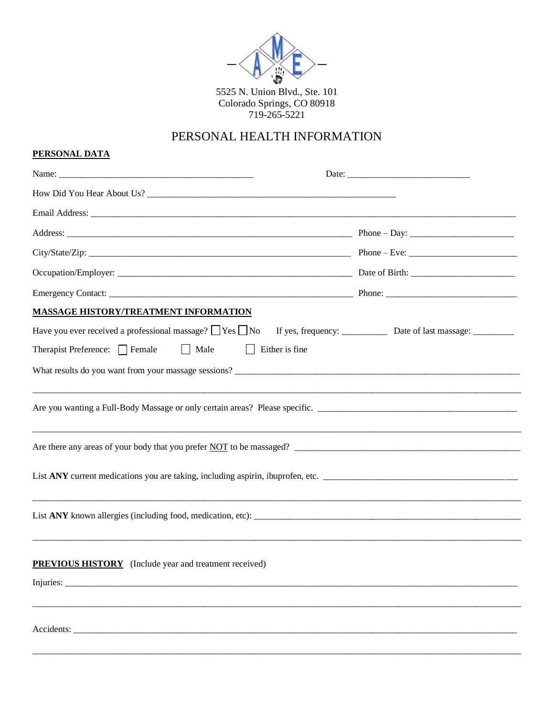

5525 N. Union Blvd., Ste. 101 Colorado Springs, CO 80918<br>719-265-5221

## PERSONAL HEALTH INFORMATION

## **PERSONAL DATA**

| How Did You Hear About Us?                                            |  |
|-----------------------------------------------------------------------|--|
|                                                                       |  |
|                                                                       |  |
|                                                                       |  |
|                                                                       |  |
|                                                                       |  |
| <b>MASSAGE HISTORY/TREATMENT INFORMATION</b>                          |  |
| Have you ever received a professional massage? $\Box$ Yes $\Box$ No   |  |
| Therapist Preference: $\Box$ Female $\Box$ Male $\Box$ Either is fine |  |
| What results do you want from your massage sessions?                  |  |
|                                                                       |  |
|                                                                       |  |
| <u> 1980 - John Stone, Amerikaansk politiker (* 1980)</u>             |  |
| Are there any areas of your body that you prefer NOT to be massaged?  |  |
|                                                                       |  |
|                                                                       |  |
|                                                                       |  |
|                                                                       |  |
|                                                                       |  |
| <b>PREVIOUS HISTORY</b> (Include year and treatment received)         |  |
|                                                                       |  |
|                                                                       |  |
|                                                                       |  |
|                                                                       |  |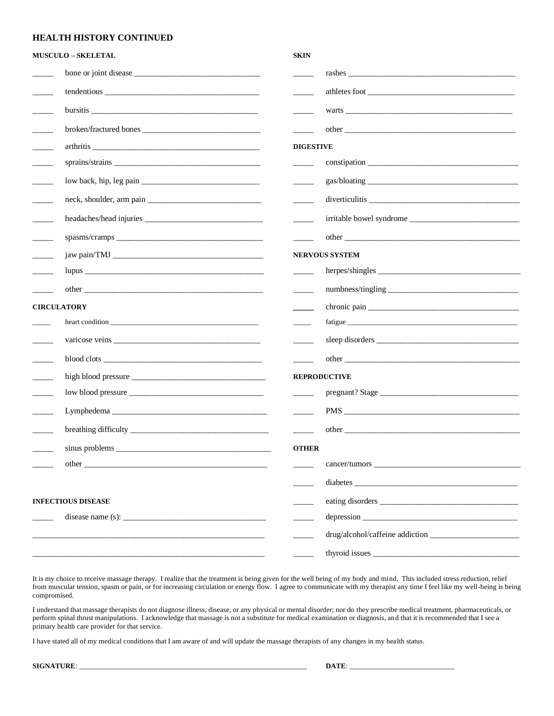## **HEALTH HISTORY CONTINUED**

|                            | <b>MUSCULO - SKELETAL</b>                                                                                                                                                                                                                                                                         | <b>SKIN</b>              |                                                                                                                                                                                                                               |
|----------------------------|---------------------------------------------------------------------------------------------------------------------------------------------------------------------------------------------------------------------------------------------------------------------------------------------------|--------------------------|-------------------------------------------------------------------------------------------------------------------------------------------------------------------------------------------------------------------------------|
|                            |                                                                                                                                                                                                                                                                                                   |                          |                                                                                                                                                                                                                               |
|                            |                                                                                                                                                                                                                                                                                                   |                          |                                                                                                                                                                                                                               |
|                            |                                                                                                                                                                                                                                                                                                   |                          | warts and the contract of the contract of the contract of the contract of the contract of the contract of the contract of the contract of the contract of the contract of the contract of the contract of the contract of the |
| $\sim$                     |                                                                                                                                                                                                                                                                                                   |                          |                                                                                                                                                                                                                               |
| $\mathcal{L}(\mathcal{L})$ | arthritis                                                                                                                                                                                                                                                                                         | <b>DIGESTIVE</b>         |                                                                                                                                                                                                                               |
|                            |                                                                                                                                                                                                                                                                                                   | $\overline{\phantom{a}}$ |                                                                                                                                                                                                                               |
|                            |                                                                                                                                                                                                                                                                                                   |                          |                                                                                                                                                                                                                               |
| $\overline{\phantom{a}}$   |                                                                                                                                                                                                                                                                                                   | $\sim$                   |                                                                                                                                                                                                                               |
| $\sim$ 10 $\mu$            |                                                                                                                                                                                                                                                                                                   |                          |                                                                                                                                                                                                                               |
| $\overline{\phantom{a}}$   |                                                                                                                                                                                                                                                                                                   |                          |                                                                                                                                                                                                                               |
|                            |                                                                                                                                                                                                                                                                                                   | <b>NERVOUS SYSTEM</b>    |                                                                                                                                                                                                                               |
|                            |                                                                                                                                                                                                                                                                                                   | $\frac{1}{2}$            |                                                                                                                                                                                                                               |
|                            |                                                                                                                                                                                                                                                                                                   |                          |                                                                                                                                                                                                                               |
| <b>CIRCULATORY</b>         |                                                                                                                                                                                                                                                                                                   |                          |                                                                                                                                                                                                                               |
|                            |                                                                                                                                                                                                                                                                                                   | $\overline{\phantom{a}}$ |                                                                                                                                                                                                                               |
| $\overline{\phantom{a}}$   |                                                                                                                                                                                                                                                                                                   |                          |                                                                                                                                                                                                                               |
|                            |                                                                                                                                                                                                                                                                                                   |                          |                                                                                                                                                                                                                               |
|                            |                                                                                                                                                                                                                                                                                                   | <b>REPRODUCTIVE</b>      |                                                                                                                                                                                                                               |
| $\mathcal{L}(\mathcal{L})$ |                                                                                                                                                                                                                                                                                                   |                          |                                                                                                                                                                                                                               |
| $\overline{\phantom{a}}$   | Lymphedema                                                                                                                                                                                                                                                                                        | <b>Contract</b>          |                                                                                                                                                                                                                               |
|                            |                                                                                                                                                                                                                                                                                                   |                          |                                                                                                                                                                                                                               |
|                            |                                                                                                                                                                                                                                                                                                   | <b>OTHER</b>             |                                                                                                                                                                                                                               |
|                            | other that the contract of the contract of the contract of the contract of the contract of the contract of the contract of the contract of the contract of the contract of the contract of the contract of the contract of the                                                                    |                          |                                                                                                                                                                                                                               |
|                            |                                                                                                                                                                                                                                                                                                   |                          | $diabetes \_$                                                                                                                                                                                                                 |
|                            | <b>INFECTIOUS DISEASE</b>                                                                                                                                                                                                                                                                         |                          |                                                                                                                                                                                                                               |
|                            | disease name (s): $\frac{1}{2}$ = $\frac{1}{2}$ = $\frac{1}{2}$ = $\frac{1}{2}$ = $\frac{1}{2}$ = $\frac{1}{2}$ = $\frac{1}{2}$ = $\frac{1}{2}$ = $\frac{1}{2}$ = $\frac{1}{2}$ = $\frac{1}{2}$ = $\frac{1}{2}$ = $\frac{1}{2}$ = $\frac{1}{2}$ = $\frac{1}{2}$ = $\frac{1}{2}$ = $\frac{1}{2}$ = |                          |                                                                                                                                                                                                                               |
|                            |                                                                                                                                                                                                                                                                                                   |                          |                                                                                                                                                                                                                               |
|                            |                                                                                                                                                                                                                                                                                                   |                          |                                                                                                                                                                                                                               |
|                            |                                                                                                                                                                                                                                                                                                   |                          |                                                                                                                                                                                                                               |

It is my choice to receive massage therapy. I realize that the treatment is being given for the well being of my body and mind. This included stress reduction, relief from muscular tension, spasm or pain, or for increasing circulation or energy flow. I agree to communicate with my therapist any time I feel like my well-being is being compromised.

I understand that massage therapists do not diagnose illness, disease, or any physical or mental disorder; nor do they prescribe medical treatment, pharmaceuticals, or perform spinal thrust manipulations. I acknowledge that massage is not a substitute for medical examination or diagnosis, and that it is recommended that I see a primary health care provider for that service.

I have stated all of my medical conditions that I am aware of and will update the massage therapists of any changes in my health status.

**SIGNATURE**: \_\_\_\_\_\_\_\_\_\_\_\_\_\_\_\_\_\_\_\_\_\_\_\_\_\_\_\_\_\_\_\_\_\_\_\_\_\_\_\_\_\_\_\_\_\_\_\_\_\_\_\_\_\_\_\_\_\_\_\_\_\_\_ **DATE**: \_\_\_\_\_\_\_\_\_\_\_\_\_\_\_\_\_\_\_\_\_\_\_\_\_\_\_\_\_